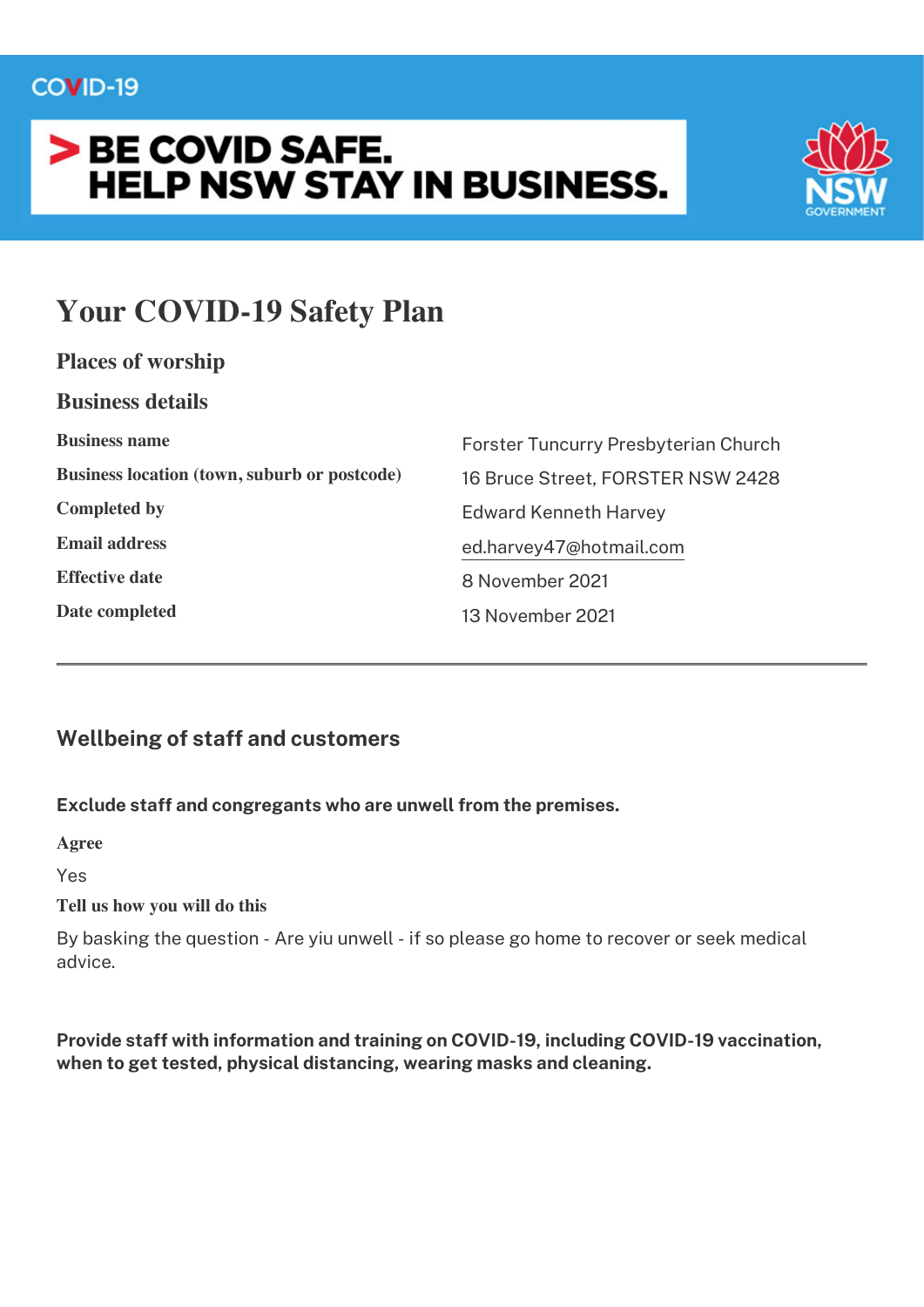$\mathbf{r}$ 

# > BE COVID SAFE. **HELP NSW STAY IN BUSINESS.**



# **Your COVID-19 Safety Plan**

| Places of worship                                   |                                      |
|-----------------------------------------------------|--------------------------------------|
| <b>Business details</b>                             |                                      |
| <b>Business name</b>                                | Forster Tuncurry Presbyterian Church |
| <b>Business location (town, suburb or postcode)</b> | 16 Bruce Street, FORSTER NSW 2428    |
| <b>Completed by</b>                                 | <b>Edward Kenneth Harvey</b>         |
| <b>Email address</b>                                | ed.harvey47@hotmail.com              |
| <b>Effective date</b>                               | 8 November 2021                      |
| Date completed                                      | 13 November 2021                     |
|                                                     |                                      |

# **Wellbeing of staff and customers**

### Exclude staff and congregants who are unwell from the premises.

Agree

Yes

#### Tell us how you will do this

By basking the question - Are yiu unwell - if so please go home to recover or seek medical advice

Provide staff with information and training on COVID-19, including COVID-19 vaccination, when to get tested, physical distancing, wearing masks and cleaning.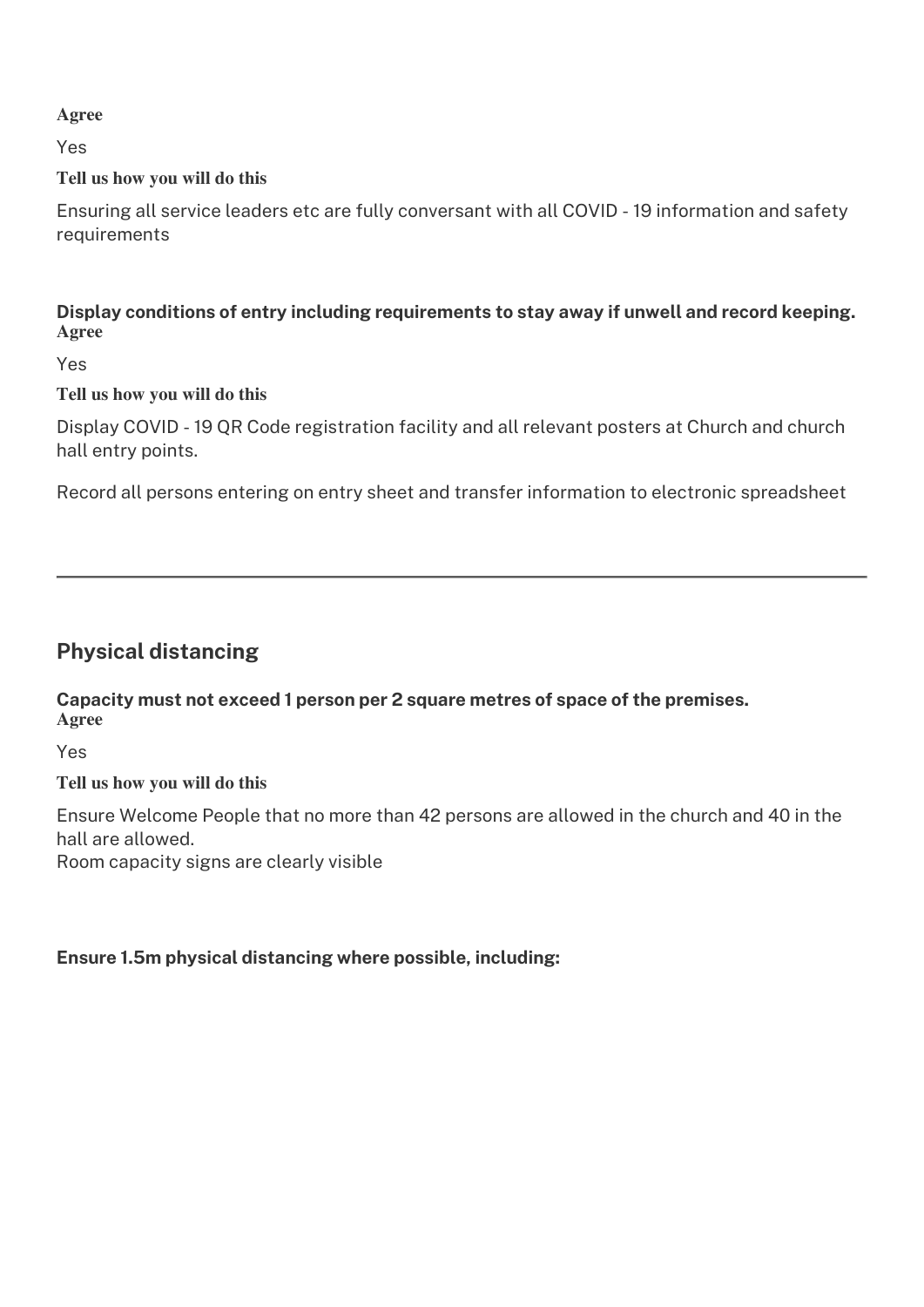**Agree**

Yes

### **Tell us how you will do this**

Ensuring all service leaders etc are fully conversant with all COVID - 19 information and safety requirements

Display conditions of entry including requirements to stay away if unwell and record keeping. **Agree**

Yes

### **Tell us how you will do this**

Display COVID - 19 QR Code registration facility and all relevant posters at Church and church hall entry points.

Record all persons entering on entry sheet and transfer information to electronic spreadsheet

## **Physical distancing**

Capacity must not exceed 1 person per 2 square metres of space of the premises. **Agree**

Yes

### **Tell us how you will do this**

Ensure Welcome People that no more than 42 persons are allowed in the church and 40 in the hall are allowed.

Room capacity signs are clearly visible

### Ensure 1.5m physical distancing where possible, including: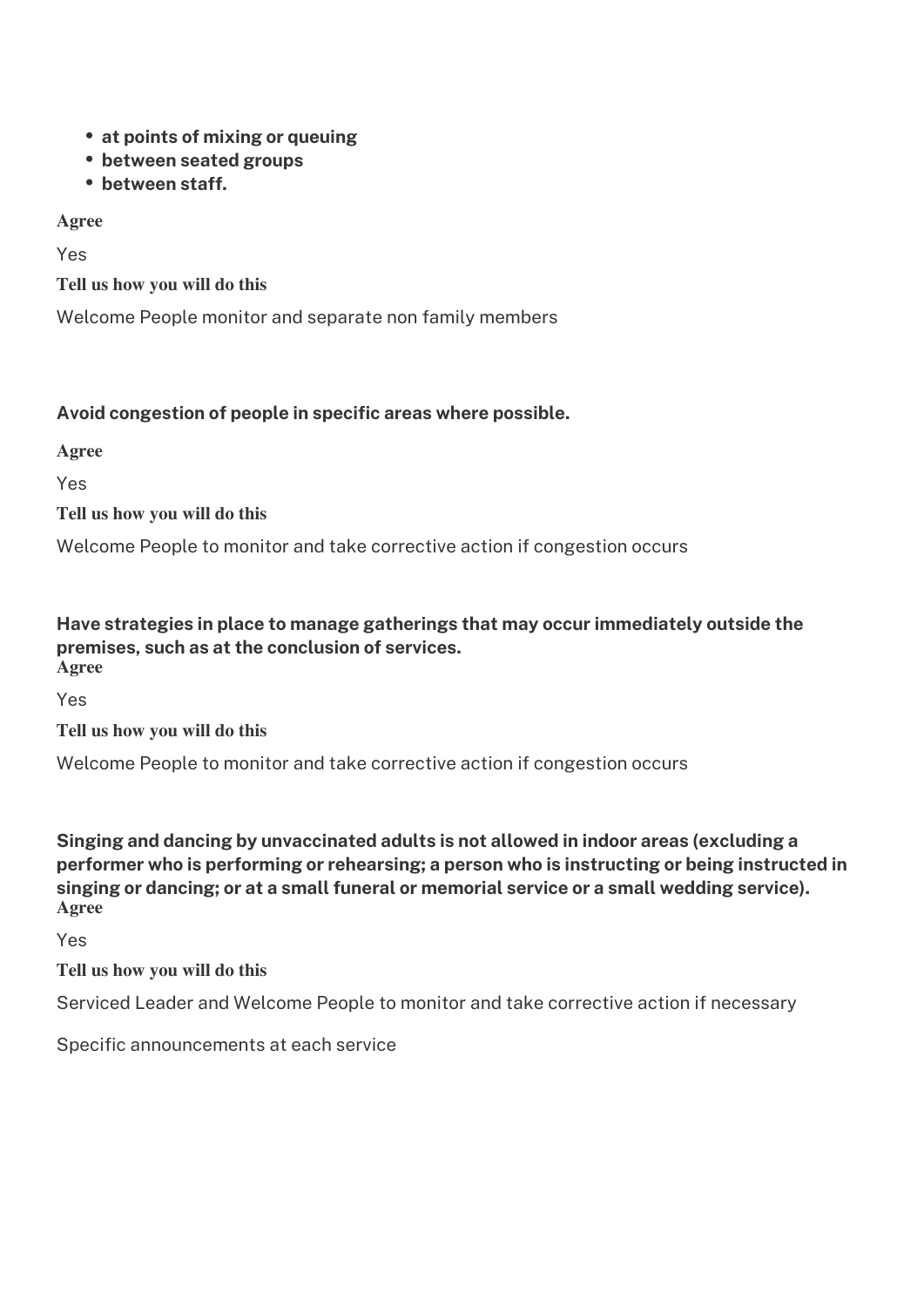- at points of mixing or queuing
- between seated groups
- between staff.

Agree

Yes

Tell us how you will do this

Welcome People monitor and separate non family members

#### Avoid congestion of people in specific areas where possible.

Agree

Yes

Tell us how you will do this

Welcome People to monitor and take corrective action if congestion occurs

#### Have strategies in place to manage gatherings that may occur immediately outside the premises, such as at the conclusion of services. Agree

Yes

Tell us how you will do this

Welcome People to monitor and take corrective action if congestion occurs

Singing and dancing by unvaccinated adults is not allowed in indoor areas (excluding a performer who is performing or rehearsing; a person who is instructing or being instructed in singing or dancing; or at a small funeral or memorial service or a small wedding service). Agree

Yes

Tell us how you will do this

Serviced Leader and Welcome People to monitor and take corrective action if necessary

Specific announcements at each service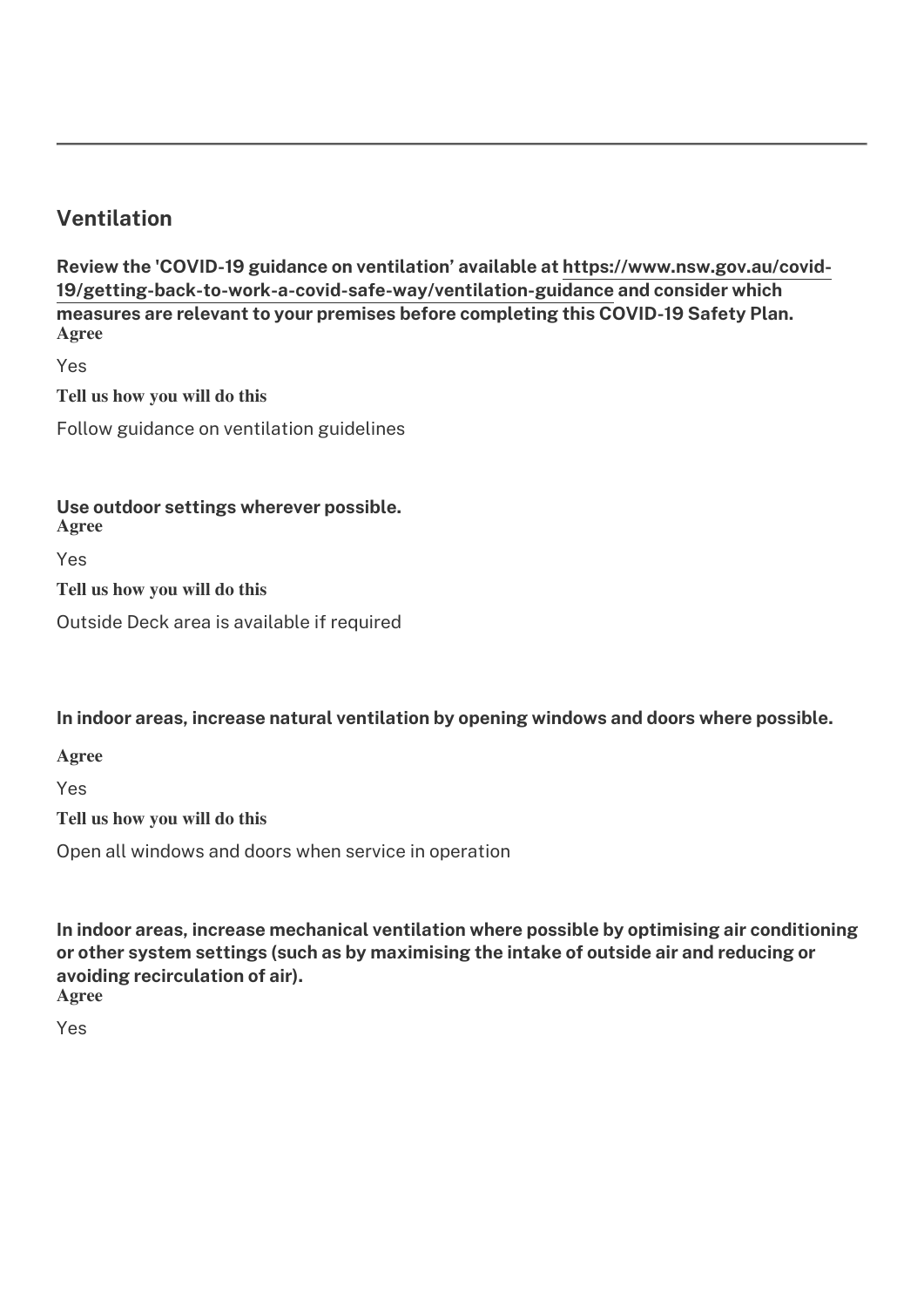## **Ventilation**

Review the 'COVID-19 guidance on ventilation' available at https://www.nsw.gov.au/covid-19/getting-back-to-work-a-covid-safe-way/ventilation-guidance and consider which measures are relevant to your premises before completing this COVID-19 Safety Plan. **Agree**

Yes

**Tell us how you will do this**

Follow guidance on ventilation guidelines

#### Use outdoor settings wherever possible.

**Agree**

Yes

**Tell us how you will do this**

Outside Deck area is available if required

In indoor areas, increase natural ventilation by opening windows and doors where possible.

**Agree**

Yes

**Tell us how you will do this**

Open all windows and doors when service in operation

In indoor areas, increase mechanical ventilation where possible by optimising air conditioning or other system settings (such as by maximising the intake of outside air and reducing or avoiding recirculation of air). **Agree**

Yes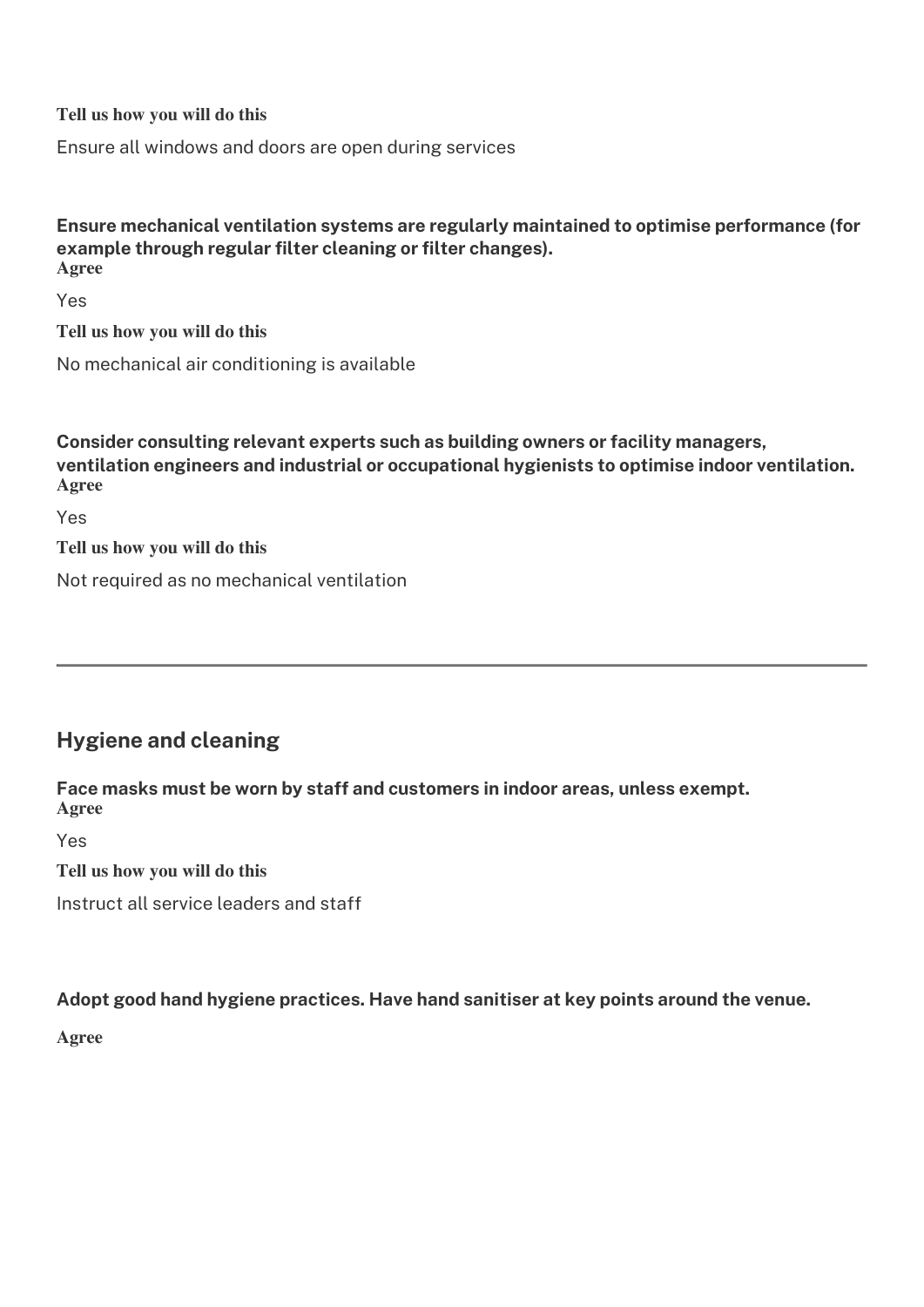**Tell us how you will do this**

Ensure all windows and doors are open during services

#### Ensure mechanical ventilation systems are regularly maintained to optimise performance (for example through regular filter cleaning or filter changes). **Agree**

Yes

**Tell us how you will do this**

No mechanical air conditioning is available

**Consider consulting relevant experts such as building owners or facility managers,** ventilation engineers and industrial or occupational hygienists to optimise indoor ventilation. **Agree**

Yes

**Tell us how you will do this**

Not required as no mechanical ventilation

# **Hygiene and cleaning**

Face masks must be worn by staff and customers in indoor areas, unless exempt. **Agree**

Yes

**Tell us how you will do this**

Instruct all service leaders and staff

#### Adopt good hand hygiene practices. Have hand sanitiser at key points around the venue.

**Agree**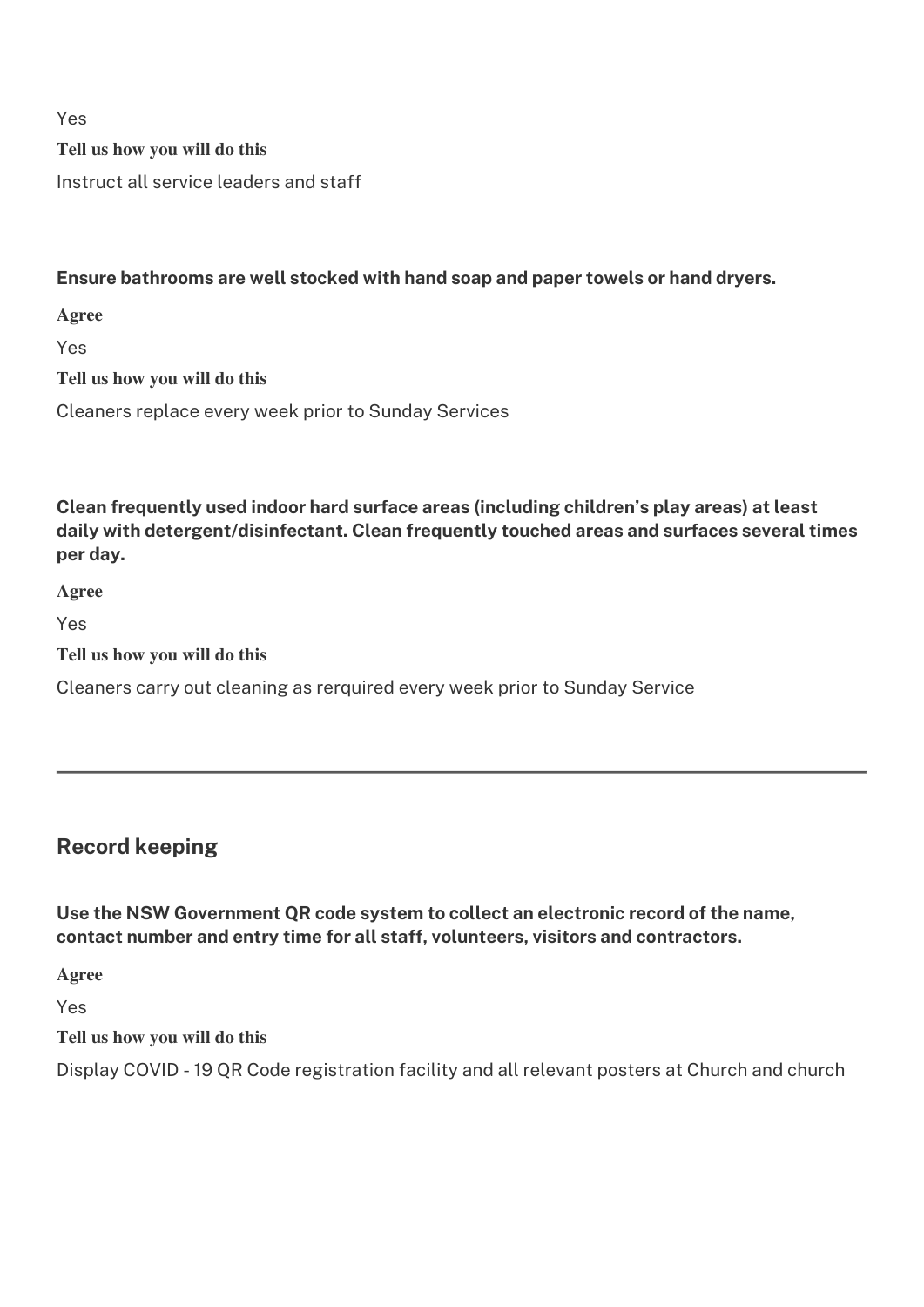Yes

**Tell us how you will do this**

Instruct all service leaders and staff

### **Ensure bathrooms are well stocked with hand soap and paper towels or hand dryers.**

**Agree**

Yes

**Tell us how you will do this**

Cleaners replace every week prior to Sunday Services

**Clean frequently used indoor hard surface areas (including children's play areas) at least** daily with detergent/disinfectant. Clean frequently touched areas and surfaces several times **per day.**

**Agree**

Yes

**Tell us how you will do this**

Cleaners carry out cleaning as rerquired every week prior to Sunday Service

# **Record keeping**

Use the NSW Government QR code system to collect an electronic record of the name, **contact number and entry time for all staff, volunteers, visitors and contractors.** 

**Agree**

Yes

**Tell us how you will do this**

Display COVID - 19 QR Code registration facility and all relevant posters at Church and church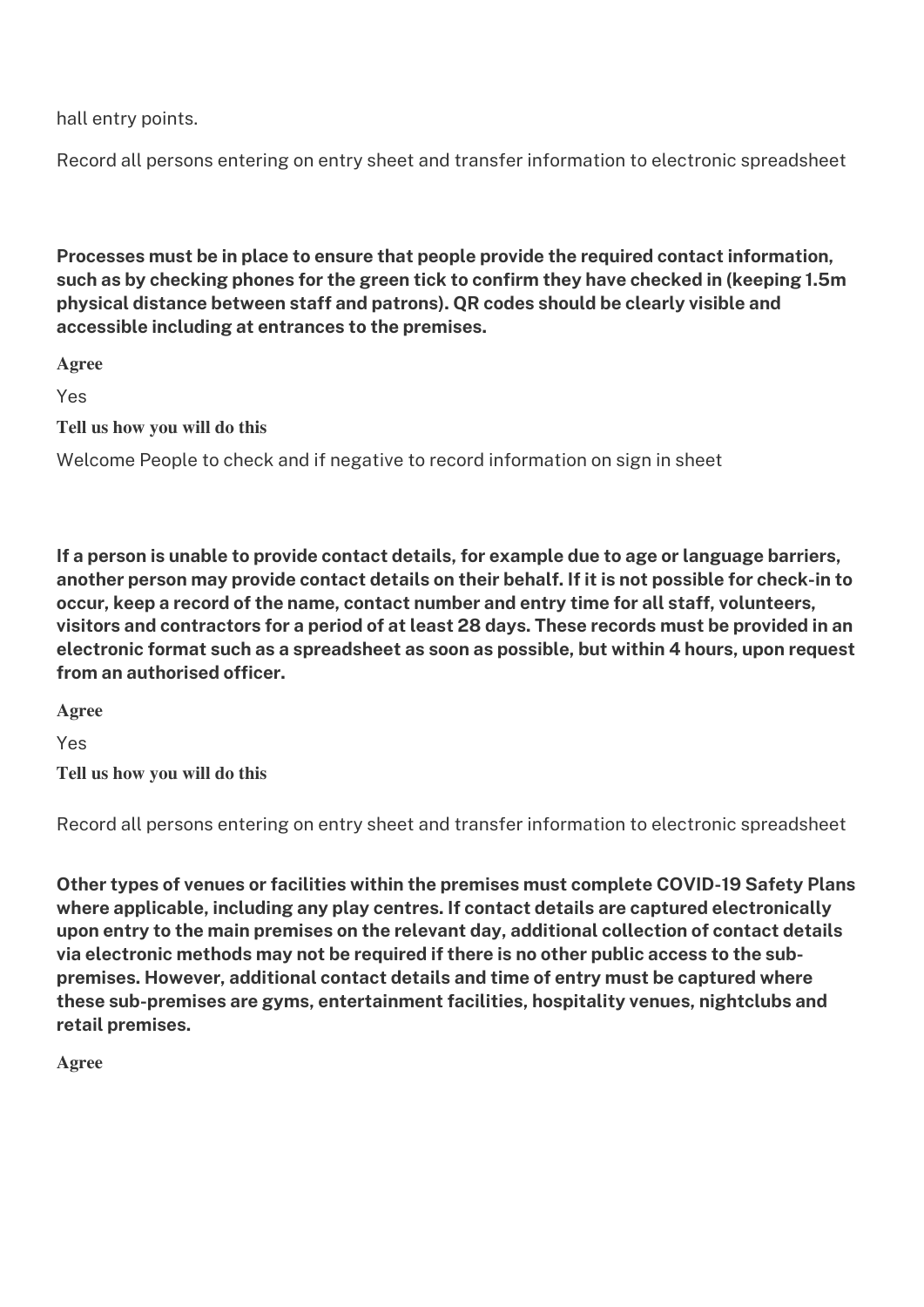hall entry points.

Record all persons entering on entry sheet and transfer information to electronic spreadsheet

Processes must be in place to ensure that people provide the required contact information, such as by checking phones for the green tick to confirm they have checked in (keeping 1.5m **physical distance between staff and patrons). QR codes should be clearly visible and** accessible including at entrances to the premises.

**Agree**

Yes

**Tell us how you will do this**

Welcome People to check and if negative to record information on sign in sheet

If a person is unable to provide contact details, for example due to age or language barriers, **another person may provide contact details on their behalÿ. Iÿ it is not possible ÿor check-in to occur, keep a record of the name, contact number and entry time for all staff, volunteers,** visitors and contractors for a period of at least 28 days. These records must be provided in an **electronic format such as a spreadsheet as soon as possible, but within 4 hours, upon request** from an authorised officer.

**Agree**

Yes

**Tell us how you will do this**

Record all persons entering on entry sheet and transfer information to electronic spreadsheet

**Other types of venues or facilities within the premises must complete COVID-19 Safety Plans** where applicable, including any play centres. If contact details are captured electronically **upon entry to the main premises on the relevant day, additional collection oÿ contact details**  via electronic methods may not be required if there is no other public access to the subpremises. However, additional contact details and time of entry must be captured where these sub-premises are gyms, entertainment facilities, hospitality venues, nightclubs and **retail premises.** 

**Agree**